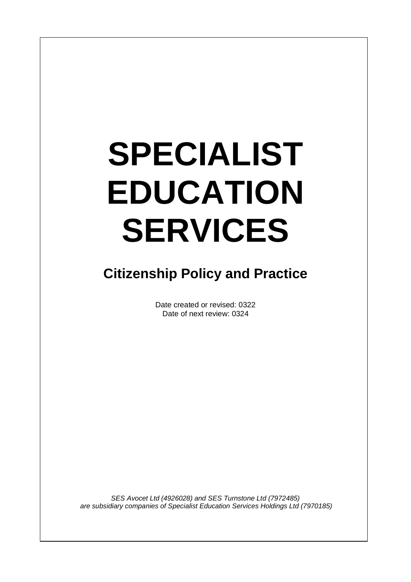# **SPECIALIST EDUCATION SERVICES**

 $\overline{\phantom{a}}$ 

# **Citizenship Policy and Practice**

Date created or revised: 0322 Date of next review: 0324

*SES Avocet Ltd (4926028) and SES Turnstone Ltd (7972485) are subsidiary companies of Specialist Education Services Holdings Ltd (7970185)*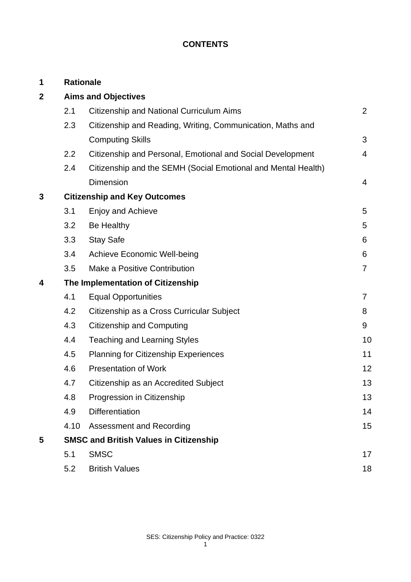# **CONTENTS**

| 1           |                                               | <b>Rationale</b>                                              |                |
|-------------|-----------------------------------------------|---------------------------------------------------------------|----------------|
| $\mathbf 2$ | <b>Aims and Objectives</b>                    |                                                               |                |
|             | 2.1                                           | Citizenship and National Curriculum Aims                      | 2              |
|             | 2.3                                           | Citizenship and Reading, Writing, Communication, Maths and    |                |
|             |                                               | <b>Computing Skills</b>                                       | 3              |
|             | 2.2                                           | Citizenship and Personal, Emotional and Social Development    | 4              |
|             | 2.4                                           | Citizenship and the SEMH (Social Emotional and Mental Health) |                |
|             |                                               | <b>Dimension</b>                                              | 4              |
| 3           | <b>Citizenship and Key Outcomes</b>           |                                                               |                |
|             | 3.1                                           | Enjoy and Achieve                                             | 5              |
|             | 3.2                                           | Be Healthy                                                    | 5              |
|             | 3.3                                           | <b>Stay Safe</b>                                              | 6              |
|             | 3.4                                           | <b>Achieve Economic Well-being</b>                            | 6              |
|             | 3.5                                           | Make a Positive Contribution                                  | $\overline{7}$ |
| 4           | The Implementation of Citizenship             |                                                               |                |
|             | 4.1                                           | <b>Equal Opportunities</b>                                    | $\overline{7}$ |
|             | 4.2                                           | Citizenship as a Cross Curricular Subject                     | 8              |
|             | 4.3                                           | <b>Citizenship and Computing</b>                              | 9              |
|             | 4.4                                           | <b>Teaching and Learning Styles</b>                           | 10             |
|             | 4.5                                           | <b>Planning for Citizenship Experiences</b>                   | 11             |
|             | 4.6                                           | <b>Presentation of Work</b>                                   | 12             |
|             | 4.7                                           | Citizenship as an Accredited Subject                          | 13             |
|             | 4.8                                           | Progression in Citizenship                                    | 13             |
|             | 4.9                                           | <b>Differentiation</b>                                        | 14             |
|             | 4.10                                          | Assessment and Recording                                      | 15             |
| 5           | <b>SMSC and British Values in Citizenship</b> |                                                               |                |
|             | 5.1                                           | <b>SMSC</b>                                                   | 17             |
|             | 5.2                                           | <b>British Values</b>                                         | 18             |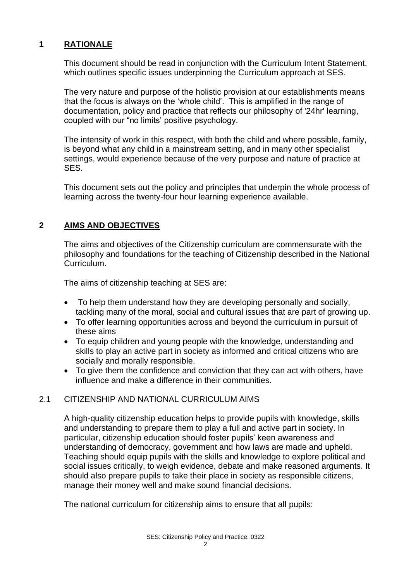# **1 RATIONALE**

This document should be read in conjunction with the Curriculum Intent Statement, which outlines specific issues underpinning the Curriculum approach at SES.

The very nature and purpose of the holistic provision at our establishments means that the focus is always on the 'whole child'. This is amplified in the range of documentation, policy and practice that reflects our philosophy of '24hr' learning, coupled with our "no limits' positive psychology.

The intensity of work in this respect, with both the child and where possible, family, is beyond what any child in a mainstream setting, and in many other specialist settings, would experience because of the very purpose and nature of practice at SES.

This document sets out the policy and principles that underpin the whole process of learning across the twenty-four hour learning experience available.

# **2 AIMS AND OBJECTIVES**

The aims and objectives of the Citizenship curriculum are commensurate with the philosophy and foundations for the teaching of Citizenship described in the National Curriculum.

The aims of citizenship teaching at SES are:

- To help them understand how they are developing personally and socially, tackling many of the moral, social and cultural issues that are part of growing up.
- To offer learning opportunities across and beyond the curriculum in pursuit of these aims
- To equip children and young people with the knowledge, understanding and skills to play an active part in society as informed and critical citizens who are socially and morally responsible.
- To give them the confidence and conviction that they can act with others, have influence and make a difference in their communities.

#### 2.1 CITIZENSHIP AND NATIONAL CURRICULUM AIMS

A high-quality citizenship education helps to provide pupils with knowledge, skills and understanding to prepare them to play a full and active part in society. In particular, citizenship education should foster pupils' keen awareness and understanding of democracy, government and how laws are made and upheld. Teaching should equip pupils with the skills and knowledge to explore political and social issues critically, to weigh evidence, debate and make reasoned arguments. It should also prepare pupils to take their place in society as responsible citizens, manage their money well and make sound financial decisions.

The national curriculum for citizenship aims to ensure that all pupils: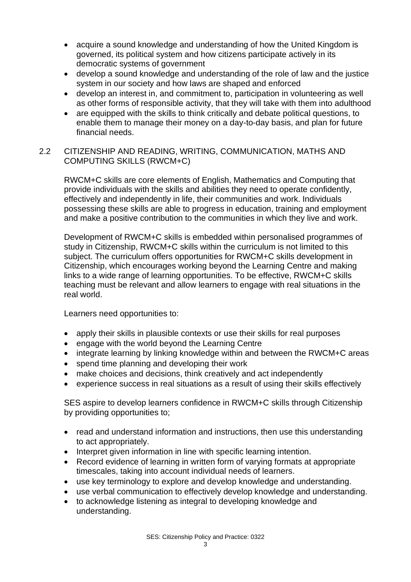- acquire a sound knowledge and understanding of how the United Kingdom is governed, its political system and how citizens participate actively in its democratic systems of government
- develop a sound knowledge and understanding of the role of law and the justice system in our society and how laws are shaped and enforced
- develop an interest in, and commitment to, participation in volunteering as well as other forms of responsible activity, that they will take with them into adulthood
- are equipped with the skills to think critically and debate political questions, to enable them to manage their money on a day-to-day basis, and plan for future financial needs.

# 2.2 CITIZENSHIP AND READING, WRITING, COMMUNICATION, MATHS AND COMPUTING SKILLS (RWCM+C)

RWCM+C skills are core elements of English, Mathematics and Computing that provide individuals with the skills and abilities they need to operate confidently, effectively and independently in life, their communities and work. Individuals possessing these skills are able to progress in education, training and employment and make a positive contribution to the communities in which they live and work.

Development of RWCM+C skills is embedded within personalised programmes of study in Citizenship, RWCM+C skills within the curriculum is not limited to this subject. The curriculum offers opportunities for RWCM+C skills development in Citizenship, which encourages working beyond the Learning Centre and making links to a wide range of learning opportunities. To be effective, RWCM+C skills teaching must be relevant and allow learners to engage with real situations in the real world.

Learners need opportunities to:

- apply their skills in plausible contexts or use their skills for real purposes
- engage with the world beyond the Learning Centre
- integrate learning by linking knowledge within and between the RWCM+C areas
- spend time planning and developing their work
- make choices and decisions, think creatively and act independently
- experience success in real situations as a result of using their skills effectively

SES aspire to develop learners confidence in RWCM+C skills through Citizenship by providing opportunities to;

- read and understand information and instructions, then use this understanding to act appropriately.
- Interpret given information in line with specific learning intention.
- Record evidence of learning in written form of varying formats at appropriate timescales, taking into account individual needs of learners.
- use key terminology to explore and develop knowledge and understanding.
- use verbal communication to effectively develop knowledge and understanding.
- to acknowledge listening as integral to developing knowledge and understanding.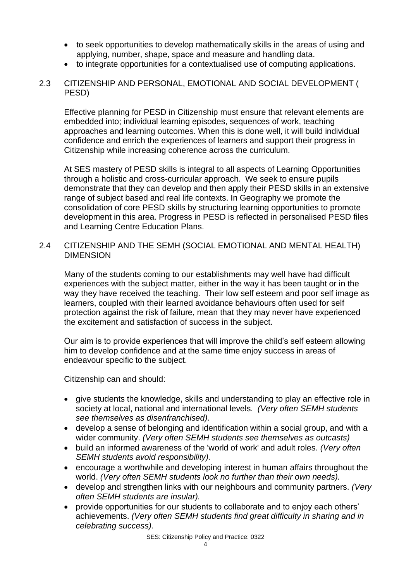- to seek opportunities to develop mathematically skills in the areas of using and applying, number, shape, space and measure and handling data.
- to integrate opportunities for a contextualised use of computing applications.
- 2.3 CITIZENSHIP AND PERSONAL, EMOTIONAL AND SOCIAL DEVELOPMENT ( PESD)

Effective planning for PESD in Citizenship must ensure that relevant elements are embedded into; individual learning episodes, sequences of work, teaching approaches and learning outcomes. When this is done well, it will build individual confidence and enrich the experiences of learners and support their progress in Citizenship while increasing coherence across the curriculum.

At SES mastery of PESD skills is integral to all aspects of Learning Opportunities through a holistic and cross-curricular approach. We seek to ensure pupils demonstrate that they can develop and then apply their PESD skills in an extensive range of subject based and real life contexts. In Geography we promote the consolidation of core PESD skills by structuring learning opportunities to promote development in this area. Progress in PESD is reflected in personalised PESD files and Learning Centre Education Plans.

2.4 CITIZENSHIP AND THE SEMH (SOCIAL EMOTIONAL AND MENTAL HEALTH) DIMENSION

Many of the students coming to our establishments may well have had difficult experiences with the subject matter, either in the way it has been taught or in the way they have received the teaching. Their low self esteem and poor self image as learners, coupled with their learned avoidance behaviours often used for self protection against the risk of failure, mean that they may never have experienced the excitement and satisfaction of success in the subject.

Our aim is to provide experiences that will improve the child's self esteem allowing him to develop confidence and at the same time enjoy success in areas of endeavour specific to the subject.

Citizenship can and should:

- give students the knowledge, skills and understanding to play an effective role in society at local, national and international levels. *(Very often SEMH students see themselves as disenfranchised).*
- develop a sense of belonging and identification within a social group, and with a wider community. *(Very often SEMH students see themselves as outcasts)*
- build an informed awareness of the 'world of work' and adult roles. *(Very often SEMH students avoid responsibility).*
- encourage a worthwhile and developing interest in human affairs throughout the world. *(Very often SEMH students look no further than their own needs).*
- develop and strengthen links with our neighbours and community partners. *(Very often SEMH students are insular).*
- provide opportunities for our students to collaborate and to enjoy each others' achievements. *(Very often SEMH students find great difficulty in sharing and in celebrating success).*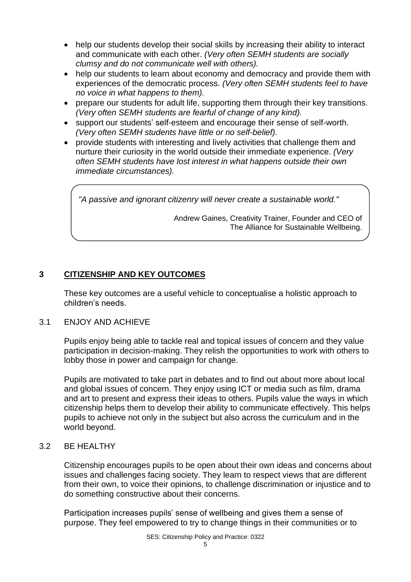- help our students develop their social skills by increasing their ability to interact and communicate with each other. *(Very often SEMH students are socially clumsy and do not communicate well with others).*
- help our students to learn about economy and democracy and provide them with experiences of the democratic process. *(Very often SEMH students feel to have no voice in what happens to them).*
- prepare our students for adult life, supporting them through their key transitions. *(Very often SEMH students are fearful of change of any kind).*
- support our students' self-esteem and encourage their sense of self-worth. *(Very often SEMH students have little or no self-belief).*
- provide students with interesting and lively activities that challenge them and nurture their curiosity in the world outside their immediate experience. *(Very often SEMH students have lost interest in what happens outside their own immediate circumstances).*

*"A passive and ignorant citizenry will never create a sustainable world."*

Andrew Gaines, Creativity Trainer, Founder and CEO of The Alliance for Sustainable Wellbeing.

# **3 CITIZENSHIP AND KEY OUTCOMES**

These key outcomes are a useful vehicle to conceptualise a holistic approach to children's needs.

# 3.1 ENJOY AND ACHIEVE

Pupils enjoy being able to tackle real and topical issues of concern and they value participation in decision-making. They relish the opportunities to work with others to lobby those in power and campaign for change.

Pupils are motivated to take part in debates and to find out about more about local and global issues of concern. They enjoy using ICT or media such as film, drama and art to present and express their ideas to others. Pupils value the ways in which citizenship helps them to develop their ability to communicate effectively. This helps pupils to achieve not only in the subject but also across the curriculum and in the world beyond.

#### 3.2 BE HEALTHY

Citizenship encourages pupils to be open about their own ideas and concerns about issues and challenges facing society. They learn to respect views that are different from their own, to voice their opinions, to challenge discrimination or injustice and to do something constructive about their concerns.

Participation increases pupils' sense of wellbeing and gives them a sense of purpose. They feel empowered to try to change things in their communities or to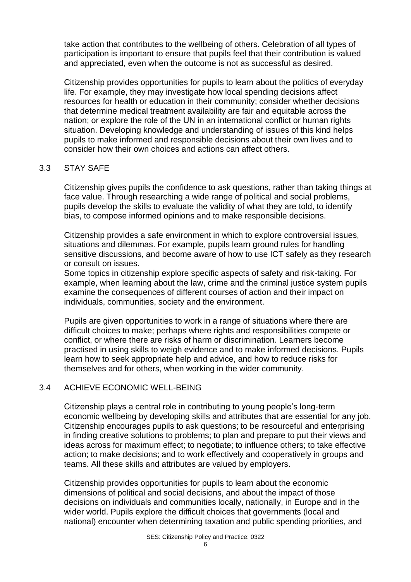take action that contributes to the wellbeing of others. Celebration of all types of participation is important to ensure that pupils feel that their contribution is valued and appreciated, even when the outcome is not as successful as desired.

Citizenship provides opportunities for pupils to learn about the politics of everyday life. For example, they may investigate how local spending decisions affect resources for health or education in their community; consider whether decisions that determine medical treatment availability are fair and equitable across the nation; or explore the role of the UN in an international conflict or human rights situation. Developing knowledge and understanding of issues of this kind helps pupils to make informed and responsible decisions about their own lives and to consider how their own choices and actions can affect others.

#### 3.3 STAY SAFE

Citizenship gives pupils the confidence to ask questions, rather than taking things at face value. Through researching a wide range of political and social problems, pupils develop the skills to evaluate the validity of what they are told, to identify bias, to compose informed opinions and to make responsible decisions.

Citizenship provides a safe environment in which to explore controversial issues, situations and dilemmas. For example, pupils learn ground rules for handling sensitive discussions, and become aware of how to use ICT safely as they research or consult on issues.

Some topics in citizenship explore specific aspects of safety and risk-taking. For example, when learning about the law, crime and the criminal justice system pupils examine the consequences of different courses of action and their impact on individuals, communities, society and the environment.

Pupils are given opportunities to work in a range of situations where there are difficult choices to make; perhaps where rights and responsibilities compete or conflict, or where there are risks of harm or discrimination. Learners become practised in using skills to weigh evidence and to make informed decisions. Pupils learn how to seek appropriate help and advice, and how to reduce risks for themselves and for others, when working in the wider community.

#### 3.4 ACHIEVE ECONOMIC WELL-BEING

Citizenship plays a central role in contributing to young people's long-term economic wellbeing by developing skills and attributes that are essential for any job. Citizenship encourages pupils to ask questions; to be resourceful and enterprising in finding creative solutions to problems; to plan and prepare to put their views and ideas across for maximum effect; to negotiate; to influence others; to take effective action; to make decisions; and to work effectively and cooperatively in groups and teams. All these skills and attributes are valued by employers.

Citizenship provides opportunities for pupils to learn about the economic dimensions of political and social decisions, and about the impact of those decisions on individuals and communities locally, nationally, in Europe and in the wider world. Pupils explore the difficult choices that governments (local and national) encounter when determining taxation and public spending priorities, and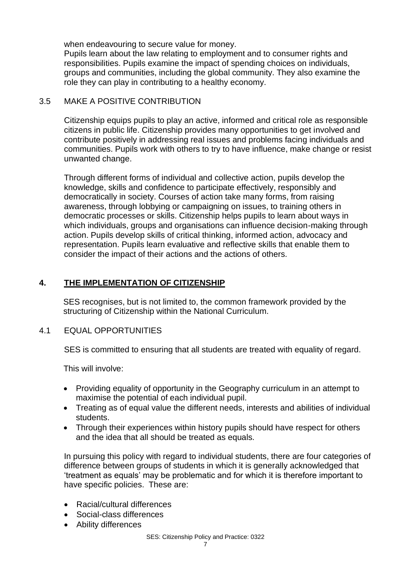when endeavouring to secure value for money.

Pupils learn about the law relating to employment and to consumer rights and responsibilities. Pupils examine the impact of spending choices on individuals, groups and communities, including the global community. They also examine the role they can play in contributing to a healthy economy.

# 3.5 MAKE A POSITIVE CONTRIBUTION

Citizenship equips pupils to play an active, informed and critical role as responsible citizens in public life. Citizenship provides many opportunities to get involved and contribute positively in addressing real issues and problems facing individuals and communities. Pupils work with others to try to have influence, make change or resist unwanted change.

Through different forms of individual and collective action, pupils develop the knowledge, skills and confidence to participate effectively, responsibly and democratically in society. Courses of action take many forms, from raising awareness, through lobbying or campaigning on issues, to training others in democratic processes or skills. Citizenship helps pupils to learn about ways in which individuals, groups and organisations can influence decision-making through action. Pupils develop skills of critical thinking, informed action, advocacy and representation. Pupils learn evaluative and reflective skills that enable them to consider the impact of their actions and the actions of others.

# **4. THE IMPLEMENTATION OF CITIZENSHIP**

SES recognises, but is not limited to, the common framework provided by the structuring of Citizenship within the National Curriculum.

#### 4.1 EQUAL OPPORTUNITIES

SES is committed to ensuring that all students are treated with equality of regard.

This will involve:

- Providing equality of opportunity in the Geography curriculum in an attempt to maximise the potential of each individual pupil.
- Treating as of equal value the different needs, interests and abilities of individual students.
- Through their experiences within history pupils should have respect for others and the idea that all should be treated as equals.

In pursuing this policy with regard to individual students, there are four categories of difference between groups of students in which it is generally acknowledged that 'treatment as equals' may be problematic and for which it is therefore important to have specific policies. These are:

- Racial/cultural differences
- Social-class differences
- Ability differences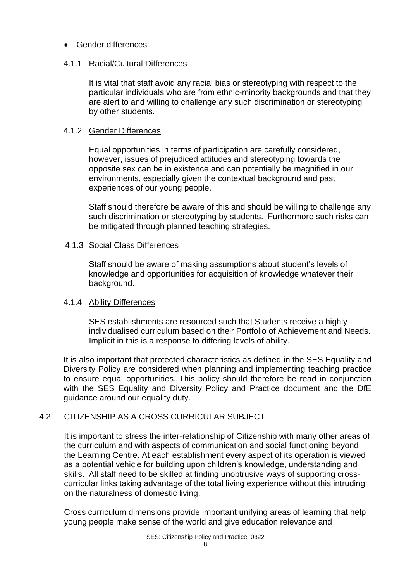# • Gender differences

# 4.1.1 Racial/Cultural Differences

It is vital that staff avoid any racial bias or stereotyping with respect to the particular individuals who are from ethnic-minority backgrounds and that they are alert to and willing to challenge any such discrimination or stereotyping by other students.

#### 4.1.2 Gender Differences

Equal opportunities in terms of participation are carefully considered, however, issues of prejudiced attitudes and stereotyping towards the opposite sex can be in existence and can potentially be magnified in our environments, especially given the contextual background and past experiences of our young people.

Staff should therefore be aware of this and should be willing to challenge any such discrimination or stereotyping by students. Furthermore such risks can be mitigated through planned teaching strategies.

# 4.1.3 Social Class Differences

Staff should be aware of making assumptions about student's levels of knowledge and opportunities for acquisition of knowledge whatever their background.

#### 4.1.4 Ability Differences

SES establishments are resourced such that Students receive a highly individualised curriculum based on their Portfolio of Achievement and Needs. Implicit in this is a response to differing levels of ability.

It is also important that protected characteristics as defined in the SES Equality and Diversity Policy are considered when planning and implementing teaching practice to ensure equal opportunities. This policy should therefore be read in conjunction with the SES Equality and Diversity Policy and Practice document and the DfE guidance around our equality duty.

# 4.2 CITIZENSHIP AS A CROSS CURRICULAR SUBJECT

It is important to stress the inter-relationship of Citizenship with many other areas of the curriculum and with aspects of communication and social functioning beyond the Learning Centre. At each establishment every aspect of its operation is viewed as a potential vehicle for building upon children's knowledge, understanding and skills. All staff need to be skilled at finding unobtrusive ways of supporting crosscurricular links taking advantage of the total living experience without this intruding on the naturalness of domestic living.

Cross curriculum dimensions provide important unifying areas of learning that help young people make sense of the world and give education relevance and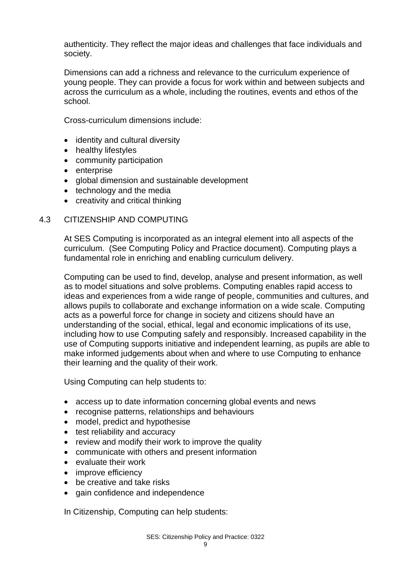authenticity. They reflect the major ideas and challenges that face individuals and society.

Dimensions can add a richness and relevance to the curriculum experience of young people. They can provide a focus for work within and between subjects and across the curriculum as a whole, including the routines, events and ethos of the school.

Cross-curriculum dimensions include:

- identity and cultural diversity
- healthy lifestyles
- community participation
- enterprise
- global dimension and sustainable development
- technology and the media
- creativity and critical thinking

#### 4.3 CITIZENSHIP AND COMPUTING

At SES Computing is incorporated as an integral element into all aspects of the curriculum. (See Computing Policy and Practice document). Computing plays a fundamental role in enriching and enabling curriculum delivery.

Computing can be used to find, develop, analyse and present information, as well as to model situations and solve problems. Computing enables rapid access to ideas and experiences from a wide range of people, communities and cultures, and allows pupils to collaborate and exchange information on a wide scale. Computing acts as a powerful force for change in society and citizens should have an understanding of the social, ethical, legal and economic implications of its use, including how to use Computing safely and responsibly. Increased capability in the use of Computing supports initiative and independent learning, as pupils are able to make informed judgements about when and where to use Computing to enhance their learning and the quality of their work.

Using Computing can help students to:

- access up to date information concerning global events and news
- recognise patterns, relationships and behaviours
- model, predict and hypothesise
- test reliability and accuracy
- review and modify their work to improve the quality
- communicate with others and present information
- evaluate their work
- improve efficiency
- be creative and take risks
- gain confidence and independence

In Citizenship, Computing can help students: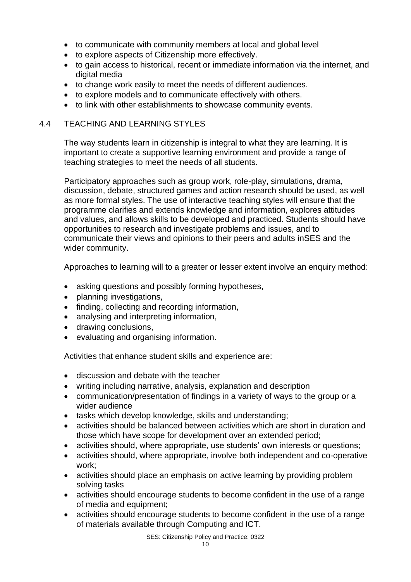- to communicate with community members at local and global level
- to explore aspects of Citizenship more effectively.
- to gain access to historical, recent or immediate information via the internet, and digital media
- to change work easily to meet the needs of different audiences.
- to explore models and to communicate effectively with others.
- to link with other establishments to showcase community events.

#### 4.4 TEACHING AND LEARNING STYLES

The way students learn in citizenship is integral to what they are learning. It is important to create a supportive learning environment and provide a range of teaching strategies to meet the needs of all students.

Participatory approaches such as group work, role-play, simulations, drama, discussion, debate, structured games and action research should be used, as well as more formal styles. The use of interactive teaching styles will ensure that the programme clarifies and extends knowledge and information, explores attitudes and values, and allows skills to be developed and practiced. Students should have opportunities to research and investigate problems and issues, and to communicate their views and opinions to their peers and adults inSES and the wider community.

Approaches to learning will to a greater or lesser extent involve an enquiry method:

- asking questions and possibly forming hypotheses,
- planning investigations,
- finding, collecting and recording information,
- analysing and interpreting information,
- drawing conclusions,
- evaluating and organising information.

Activities that enhance student skills and experience are:

- discussion and debate with the teacher
- writing including narrative, analysis, explanation and description
- communication/presentation of findings in a variety of ways to the group or a wider audience
- tasks which develop knowledge, skills and understanding;
- activities should be balanced between activities which are short in duration and those which have scope for development over an extended period;
- activities should, where appropriate, use students' own interests or questions;
- activities should, where appropriate, involve both independent and co-operative work;
- activities should place an emphasis on active learning by providing problem solving tasks
- activities should encourage students to become confident in the use of a range of media and equipment;
- activities should encourage students to become confident in the use of a range of materials available through Computing and ICT.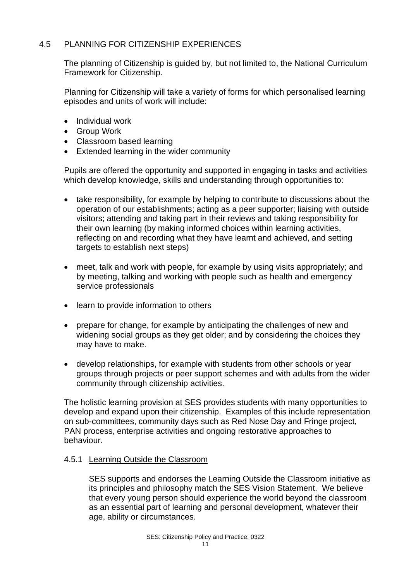# 4.5 PLANNING FOR CITIZENSHIP EXPERIENCES

The planning of Citizenship is guided by, but not limited to, the National Curriculum Framework for Citizenship.

Planning for Citizenship will take a variety of forms for which personalised learning episodes and units of work will include:

- Individual work
- Group Work
- Classroom based learning
- Extended learning in the wider community

Pupils are offered the opportunity and supported in engaging in tasks and activities which develop knowledge, skills and understanding through opportunities to:

- take responsibility, for example by helping to contribute to discussions about the operation of our establishments; acting as a peer supporter; liaising with outside visitors; attending and taking part in their reviews and taking responsibility for their own learning (by making informed choices within learning activities, reflecting on and recording what they have learnt and achieved, and setting targets to establish next steps)
- meet, talk and work with people, for example by using visits appropriately; and by meeting, talking and working with people such as health and emergency service professionals
- learn to provide information to others
- prepare for change, for example by anticipating the challenges of new and widening social groups as they get older; and by considering the choices they may have to make.
- develop relationships, for example with students from other schools or year groups through projects or peer support schemes and with adults from the wider community through citizenship activities.

The holistic learning provision at SES provides students with many opportunities to develop and expand upon their citizenship. Examples of this include representation on sub-committees, community days such as Red Nose Day and Fringe project, PAN process, enterprise activities and ongoing restorative approaches to behaviour.

# 4.5.1 Learning Outside the Classroom

SES supports and endorses the Learning Outside the Classroom initiative as its principles and philosophy match the SES Vision Statement. We believe that every young person should experience the world beyond the classroom as an essential part of learning and personal development, whatever their age, ability or circumstances.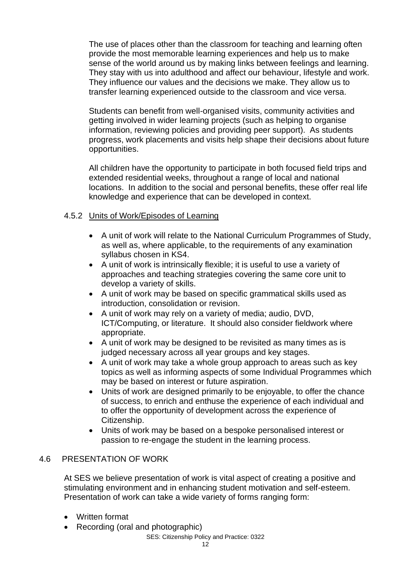The use of places other than the classroom for teaching and learning often provide the most memorable learning experiences and help us to make sense of the world around us by making links between feelings and learning. They stay with us into adulthood and affect our behaviour, lifestyle and work. They influence our values and the decisions we make. They allow us to transfer learning experienced outside to the classroom and vice versa.

Students can benefit from well-organised visits, community activities and getting involved in wider learning projects (such as helping to organise information, reviewing policies and providing peer support). As students progress, work placements and visits help shape their decisions about future opportunities.

All children have the opportunity to participate in both focused field trips and extended residential weeks, throughout a range of local and national locations. In addition to the social and personal benefits, these offer real life knowledge and experience that can be developed in context.

# 4.5.2 Units of Work/Episodes of Learning

- A unit of work will relate to the National Curriculum Programmes of Study, as well as, where applicable, to the requirements of any examination syllabus chosen in KS4.
- A unit of work is intrinsically flexible; it is useful to use a variety of approaches and teaching strategies covering the same core unit to develop a variety of skills.
- A unit of work may be based on specific grammatical skills used as introduction, consolidation or revision.
- A unit of work may rely on a variety of media; audio, DVD, ICT/Computing, or literature. It should also consider fieldwork where appropriate.
- A unit of work may be designed to be revisited as many times as is judged necessary across all year groups and key stages.
- A unit of work may take a whole group approach to areas such as key topics as well as informing aspects of some Individual Programmes which may be based on interest or future aspiration.
- Units of work are designed primarily to be enjoyable, to offer the chance of success, to enrich and enthuse the experience of each individual and to offer the opportunity of development across the experience of Citizenship.
- Units of work may be based on a bespoke personalised interest or passion to re-engage the student in the learning process.

# 4.6 PRESENTATION OF WORK

At SES we believe presentation of work is vital aspect of creating a positive and stimulating environment and in enhancing student motivation and self-esteem. Presentation of work can take a wide variety of forms ranging form:

- Written format
- Recording (oral and photographic)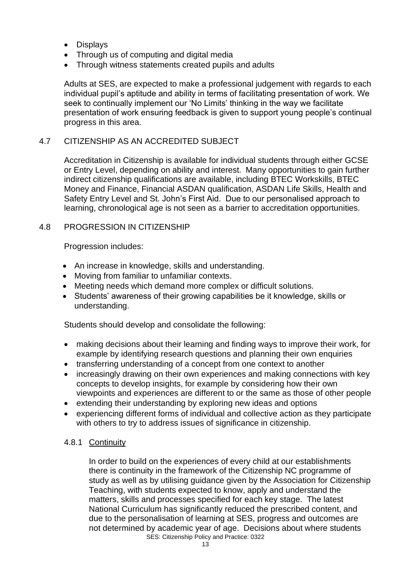- Displays
- Through us of computing and digital media
- Through witness statements created pupils and adults

Adults at SES, are expected to make a professional judgement with regards to each individual pupil's aptitude and ability in terms of facilitating presentation of work. We seek to continually implement our 'No Limits' thinking in the way we facilitate presentation of work ensuring feedback is given to support young people's continual progress in this area.

# 4.7 CITIZENSHIP AS AN ACCREDITED SUBJECT

Accreditation in Citizenship is available for individual students through either GCSE or Entry Level, depending on ability and interest. Many opportunities to gain further indirect citizenship qualifications are available, including BTEC Workskills, BTEC Money and Finance, Financial ASDAN qualification, ASDAN Life Skills, Health and Safety Entry Level and St. John's First Aid. Due to our personalised approach to learning, chronological age is not seen as a barrier to accreditation opportunities.

# 4.8 PROGRESSION IN CITIZENSHIP

Progression includes:

- An increase in knowledge, skills and understanding.
- Moving from familiar to unfamiliar contexts.
- Meeting needs which demand more complex or difficult solutions.
- Students' awareness of their growing capabilities be it knowledge, skills or understanding.

Students should develop and consolidate the following:

- making decisions about their learning and finding ways to improve their work, for example by identifying research questions and planning their own enquiries
- transferring understanding of a concept from one context to another
- increasingly drawing on their own experiences and making connections with key concepts to develop insights, for example by considering how their own viewpoints and experiences are different to or the same as those of other people
- extending their understanding by exploring new ideas and options
- experiencing different forms of individual and collective action as they participate with others to try to address issues of significance in citizenship.

#### 4.8.1 Continuity

SES: Citizenship Policy and Practice: 0322 In order to build on the experiences of every child at our establishments there is continuity in the framework of the Citizenship NC programme of study as well as by utilising guidance given by the Association for Citizenship Teaching, with students expected to know, apply and understand the matters, skills and processes specified for each key stage. The latest National Curriculum has significantly reduced the prescribed content, and due to the personalisation of learning at SES, progress and outcomes are not determined by academic year of age. Decisions about where students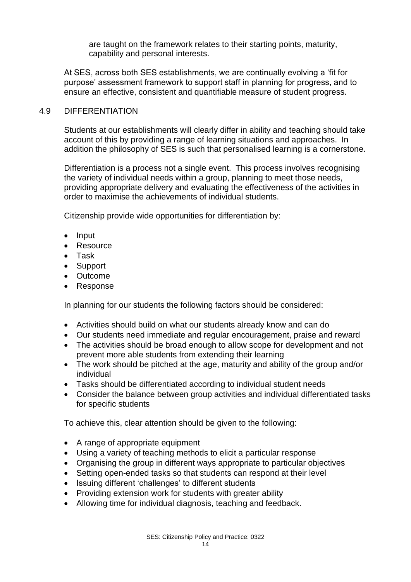are taught on the framework relates to their starting points, maturity, capability and personal interests.

At SES, across both SES establishments, we are continually evolving a 'fit for purpose' assessment framework to support staff in planning for progress, and to ensure an effective, consistent and quantifiable measure of student progress.

#### 4.9 DIFFERENTIATION

Students at our establishments will clearly differ in ability and teaching should take account of this by providing a range of learning situations and approaches. In addition the philosophy of SES is such that personalised learning is a cornerstone.

Differentiation is a process not a single event. This process involves recognising the variety of individual needs within a group, planning to meet those needs, providing appropriate delivery and evaluating the effectiveness of the activities in order to maximise the achievements of individual students.

Citizenship provide wide opportunities for differentiation by:

- Input
- Resource
- Task
- Support
- Outcome
- Response

In planning for our students the following factors should be considered:

- Activities should build on what our students already know and can do
- Our students need immediate and regular encouragement, praise and reward
- The activities should be broad enough to allow scope for development and not prevent more able students from extending their learning
- The work should be pitched at the age, maturity and ability of the group and/or individual
- Tasks should be differentiated according to individual student needs
- Consider the balance between group activities and individual differentiated tasks for specific students

To achieve this, clear attention should be given to the following:

- A range of appropriate equipment
- Using a variety of teaching methods to elicit a particular response
- Organising the group in different ways appropriate to particular objectives
- Setting open-ended tasks so that students can respond at their level
- Issuing different 'challenges' to different students
- Providing extension work for students with greater ability
- Allowing time for individual diagnosis, teaching and feedback.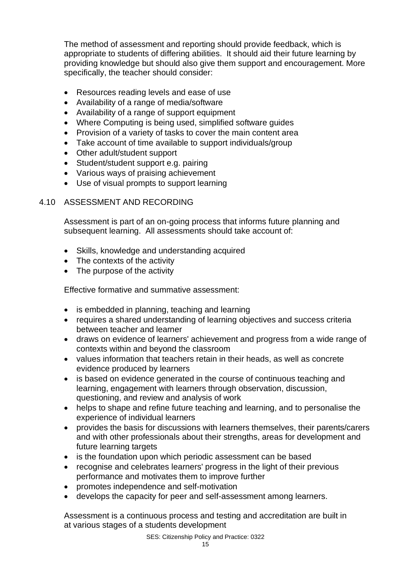The method of assessment and reporting should provide feedback, which is appropriate to students of differing abilities. It should aid their future learning by providing knowledge but should also give them support and encouragement. More specifically, the teacher should consider:

- Resources reading levels and ease of use
- Availability of a range of media/software
- Availability of a range of support equipment
- Where Computing is being used, simplified software guides
- Provision of a variety of tasks to cover the main content area
- Take account of time available to support individuals/group
- Other adult/student support
- Student/student support e.g. pairing
- Various ways of praising achievement
- Use of visual prompts to support learning

# 4.10 ASSESSMENT AND RECORDING

Assessment is part of an on-going process that informs future planning and subsequent learning. All assessments should take account of:

- Skills, knowledge and understanding acquired
- The contexts of the activity
- The purpose of the activity

Effective formative and summative assessment:

- is embedded in planning, teaching and learning
- requires a shared understanding of learning objectives and success criteria between teacher and learner
- draws on evidence of learners' achievement and progress from a wide range of contexts within and beyond the classroom
- values information that teachers retain in their heads, as well as concrete evidence produced by learners
- is based on evidence generated in the course of continuous teaching and learning, engagement with learners through observation, discussion, questioning, and review and analysis of work
- helps to shape and refine future teaching and learning, and to personalise the experience of individual learners
- provides the basis for discussions with learners themselves, their parents/carers and with other professionals about their strengths, areas for development and future learning targets
- is the foundation upon which periodic assessment can be based
- recognise and celebrates learners' progress in the light of their previous performance and motivates them to improve further
- promotes independence and self-motivation
- develops the capacity for peer and self-assessment among learners.

Assessment is a continuous process and testing and accreditation are built in at various stages of a students development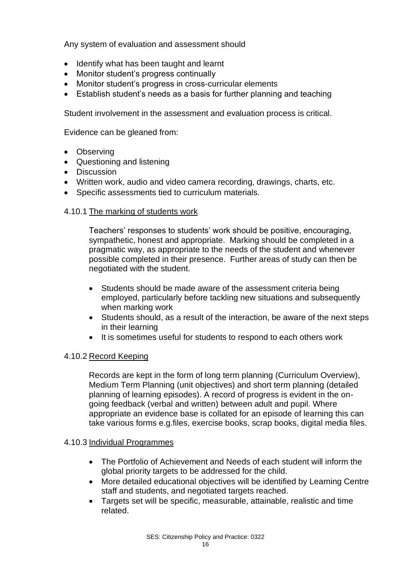Any system of evaluation and assessment should

- Identify what has been taught and learnt
- Monitor student's progress continually
- Monitor student's progress in cross-curricular elements
- Establish student's needs as a basis for further planning and teaching

Student involvement in the assessment and evaluation process is critical.

Evidence can be gleaned from:

- Observing
- Questioning and listening
- Discussion
- Written work, audio and video camera recording, drawings, charts, etc.
- Specific assessments tied to curriculum materials.

# 4.10.1 The marking of students work

Teachers' responses to students' work should be positive, encouraging, sympathetic, honest and appropriate. Marking should be completed in a pragmatic way, as appropriate to the needs of the student and whenever possible completed in their presence. Further areas of study can then be negotiated with the student.

- Students should be made aware of the assessment criteria being employed, particularly before tackling new situations and subsequently when marking work
- Students should, as a result of the interaction, be aware of the next steps in their learning
- It is sometimes useful for students to respond to each others work

# 4.10.2 Record Keeping

Records are kept in the form of long term planning (Curriculum Overview), Medium Term Planning (unit objectives) and short term planning (detailed planning of learning episodes). A record of progress is evident in the ongoing feedback (verbal and written) between adult and pupil. Where appropriate an evidence base is collated for an episode of learning this can take various forms e.g.files, exercise books, scrap books, digital media files.

#### 4.10.3 Individual Programmes

- The Portfolio of Achievement and Needs of each student will inform the global priority targets to be addressed for the child.
- More detailed educational objectives will be identified by Learning Centre staff and students, and negotiated targets reached.
- Targets set will be specific, measurable, attainable, realistic and time related.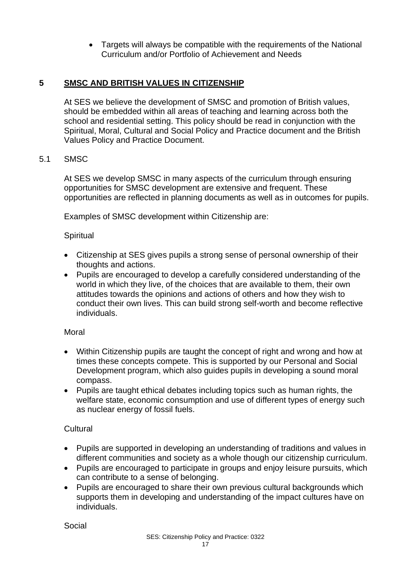• Targets will always be compatible with the requirements of the National Curriculum and/or Portfolio of Achievement and Needs

# **5 SMSC AND BRITISH VALUES IN CITIZENSHIP**

At SES we believe the development of SMSC and promotion of British values, should be embedded within all areas of teaching and learning across both the school and residential setting. This policy should be read in conjunction with the Spiritual, Moral, Cultural and Social Policy and Practice document and the British Values Policy and Practice Document.

# 5.1 SMSC

At SES we develop SMSC in many aspects of the curriculum through ensuring opportunities for SMSC development are extensive and frequent. These opportunities are reflected in planning documents as well as in outcomes for pupils.

Examples of SMSC development within Citizenship are:

# **Spiritual**

- Citizenship at SES gives pupils a strong sense of personal ownership of their thoughts and actions.
- Pupils are encouraged to develop a carefully considered understanding of the world in which they live, of the choices that are available to them, their own attitudes towards the opinions and actions of others and how they wish to conduct their own lives. This can build strong self-worth and become reflective individuals.

#### Moral

- Within Citizenship pupils are taught the concept of right and wrong and how at times these concepts compete. This is supported by our Personal and Social Development program, which also guides pupils in developing a sound moral compass.
- Pupils are taught ethical debates including topics such as human rights, the welfare state, economic consumption and use of different types of energy such as nuclear energy of fossil fuels.

# **Cultural**

- Pupils are supported in developing an understanding of traditions and values in different communities and society as a whole though our citizenship curriculum.
- Pupils are encouraged to participate in groups and enjoy leisure pursuits, which can contribute to a sense of belonging.
- Pupils are encouraged to share their own previous cultural backgrounds which supports them in developing and understanding of the impact cultures have on individuals.

Social